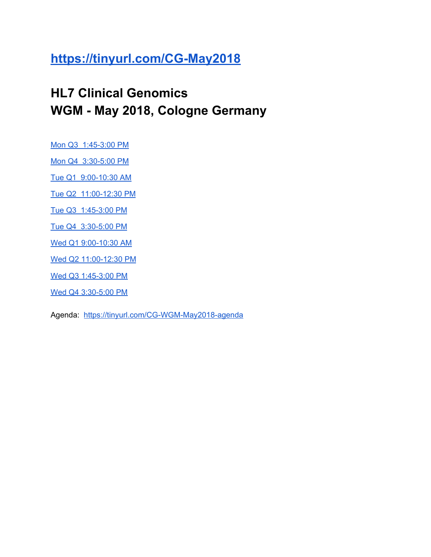#### **<https://tinyurl.com/CG-May2018>**

#### **HL7 Clinical Genomics WGM - May 2018, Cologne Germany**

Mon Q3 [1:45-3:00](#page-1-0) PM

Mon Q4 [3:30-5:00](#page-3-0) PM

Tue Q1 [9:00-10:30](#page-5-0) AM

Tue Q2 [11:00-12:30](#page-7-0) PM

Tue Q3 [1:45-3:00](#page-10-0) PM

Tue Q4 [3:30-5:00](#page-13-0) PM

Wed Q1 [9:00-10:30](#page-15-0) AM

Wed Q2 [11:00-12:30](#page-18-0) PM

Wed Q3 [1:45-3:00](#page-20-0) PM

Wed Q4 [3:30-5:00](#page-23-0) PM

Agenda: <https://tinyurl.com/CG-WGM-May2018-agenda>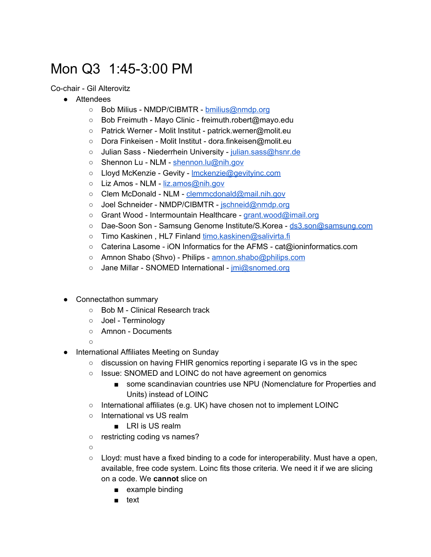# <span id="page-1-0"></span>Mon Q3 1:45-3:00 PM

Co-chair - Gil Alterovitz

- Attendees
	- Bob Milius NMDP/CIBMTR [bmilius@nmdp.org](mailto:bmilius@nmdp.org)
	- Bob Freimuth Mayo Clinic freimuth.robert@mayo.edu
	- Patrick Werner Molit Institut patrick.werner@molit.eu
	- Dora Finkeisen Molit Institut dora.finkeisen@molit.eu
	- Julian Sass Niederrhein University [julian.sass@hsnr.de](mailto:julian.sass@hsnr.de)
	- Shennon Lu NLM [shennon.lu@nih.gov](mailto:shennon.lu@nih.gov)
	- Lloyd McKenzie Gevity [lmckenzie@gevityinc.com](mailto:lmckenzie@gevityinc.com)
	- Liz Amos NLM [liz.amos@nih.gov](mailto:liz.amos@nih.gov)
	- Clem McDonald NLM [clemmcdonald@mail.nih.gov](mailto:clemmcdonald@mail.nih.gov)
	- Joel Schneider NMDP/CIBMTR [jschneid@nmdp.org](mailto:jschneid@nmdp.org)
	- Grant Wood Intermountain Healthcare [grant.wood@imail.org](mailto:grant.wood@imail.org)
	- Dae-Soon Son Samsung Genome Institute/S.Korea [ds3.son@samsung.com](mailto:ds3.son@samsung.com)
	- Timo Kaskinen , HL7 Finland [timo.kaskinen@salivirta.fi](mailto:timo.kaskinen@salivirta.fi)
	- Caterina Lasome iON Informatics for the AFMS cat@ioninformatics.com
	- Amnon Shabo (Shvo) Philips [amnon.shabo@philips.com](mailto:amnon.shabo@philips.com)
	- Jane Millar SNOMED International [jmi@snomed.org](mailto:jmi@snomed.org)
- Connectathon summary
	- Bob M Clinical Research track
	- Joel Terminology
	- Amnon Documents

○

- International Affiliates Meeting on Sunday
	- discussion on having FHIR genomics reporting i separate IG vs in the spec
	- Issue: SNOMED and LOINC do not have agreement on genomics
		- some scandinavian countries use NPU (Nomenclature for Properties and Units) instead of LOINC
	- $\circ$  International affiliates (e.g. UK) have chosen not to implement LOINC
	- International vs US realm
		- LRI is US realm
	- o restricting coding vs names?

 $\circ$ 

- $\circ$  Lloyd: must have a fixed binding to a code for interoperability. Must have a open, available, free code system. Loinc fits those criteria. We need it if we are slicing on a code. We **cannot** slice on
	- example binding
	- text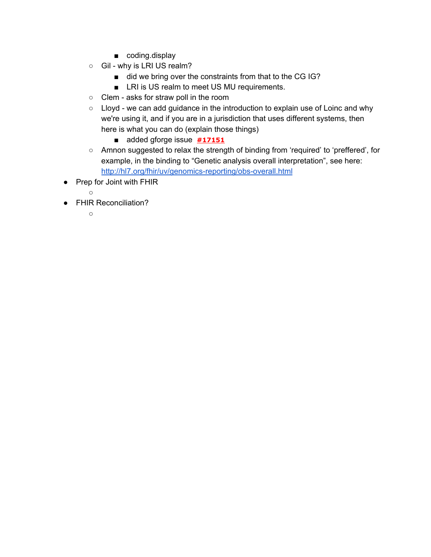- coding.display
- Gil why is LRI US realm?
	- did we bring over the constraints from that to the CG IG?
	- LRI is US realm to meet US MU requirements.
- Clem asks for straw poll in the room
- Lloyd we can add guidance in the introduction to explain use of Loinc and why we're using it, and if you are in a jurisdiction that uses different systems, then here is what you can do (explain those things)
	- added gforge issue **[#17151](https://gforge.hl7.org/gf/project/fhir/tracker/?action=TrackerItemEdit&tracker_item_id=17151)**
- Amnon suggested to relax the strength of binding from 'required' to 'preffered', for example, in the binding to "Genetic analysis overall interpretation", see here: <http://hl7.org/fhir/uv/genomics-reporting/obs-overall.html>
- Prep for Joint with FHIR
	- $\circ$
- FHIR Reconciliation?
	- $\circ$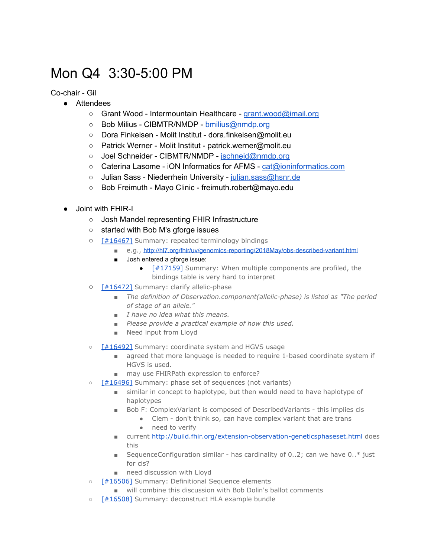#### <span id="page-3-0"></span>Mon Q4 3:30-5:00 PM

Co-chair - Gil

- Attendees
	- Grant Wood Intermountain Healthcare [grant.wood@imail.org](mailto:grant.wood@imail.org)
	- Bob Milius CIBMTR/NMDP [bmilius@nmdp.org](mailto:bmilius@nmdp.org)
	- Dora Finkeisen Molit Institut dora.finkeisen@molit.eu
	- Patrick Werner Molit Institut patrick.werner@molit.eu
	- Joel Schneider CIBMTR/NMDP [jschneid@nmdp.org](mailto:jschneid@nmdp.org)
	- Caterina Lasome iON Informatics for AFMS [cat@ioninformatics.com](mailto:cat@ioninformatics.com)
	- o Julian Sass Niederrhein University [julian.sass@hsnr.de](mailto:julian.sass@hsnr.de)
	- Bob Freimuth Mayo Clinic freimuth.robert@mayo.edu
- Joint with FHIR-I
	- Josh Mandel representing FHIR Infrastructure
	- started with Bob M's gforge issues
	- [\[#16467\]](https://gforge.hl7.org/gf/project/fhir/tracker/?action=TrackerItemEdit&tracker_item_id=16467&start=0) Summary: repeated terminology bindings
		- e.g., <http://hl7.org/fhir/uv/genomics-reporting/2018May/obs-described-variant.html>
		- Josh entered a gforge issue:
			- $\bullet$  [\[#17159\]](https://gforge.hl7.org/gf/project/fhir/tracker/?action=TrackerItemEdit&tracker_item_id=17159) Summary: When multiple components are profiled, the bindings table is very hard to interpret
	- [\[#16472\]](https://gforge.hl7.org/gf/project/fhir/tracker/?action=TrackerItemEdit&tracker_item_id=16472&start=0) Summary: clarify allelic-phase
		- *■ The definition of Observation.component(allelic-phase) is listed as "The period of stage of an allele."*
		- *■ I have no idea what this means.*
		- *■ Please provide a practical example of how this used.*
		- *■* Need input from Lloyd
	- [\[#16492\]](https://gforge.hl7.org/gf/project/fhir/tracker/?action=TrackerItemEdit&tracker_item_id=16492&start=0) Summary: coordinate system and HGVS usage
		- agreed that more language is needed to require 1-based coordinate system if HGVS is used.
		- may use FHIRPath expression to enforce?
	- o [\[#16496\]](https://gforge.hl7.org/gf/project/fhir/tracker/?action=TrackerItemEdit&tracker_item_id=16496&start=0) Summary: phase set of sequences (not variants)
		- similar in concept to haplotype, but then would need to have haplotype of haplotypes
		- Bob F: ComplexVariant is composed of DescribedVariants this implies cis
			- Clem don't think so, can have complex variant that are trans
			- need to verify
		- current <http://build.fhir.org/extension-observation-geneticsphaseset.html> does this
		- **■** SequenceConfiguration similar has cardinality of  $0..2$ ; can we have  $0.^*$  just for cis?
		- need discussion with Lloyd
	- [\[#16506\]](https://gforge.hl7.org/gf/project/fhir/tracker/?action=TrackerItemEdit&tracker_item_id=16506&start=0) Summary: Definitional Sequence elements
		- will combine this discussion with Bob Dolin's ballot comments
	- [\[#16508\]](https://gforge.hl7.org/gf/project/fhir/tracker/?action=TrackerItemEdit&tracker_item_id=16508&start=0) Summary: deconstruct HLA example bundle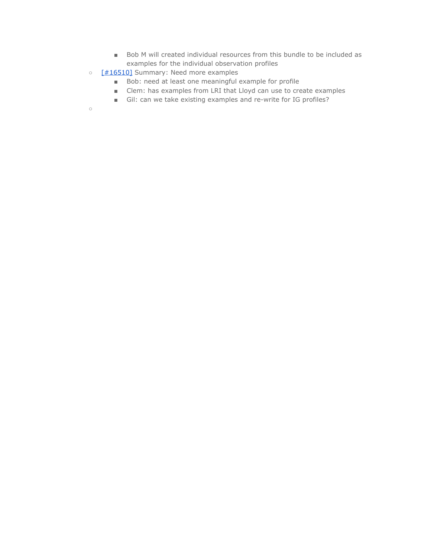- Bob M will created individual resources from this bundle to be included as examples for the individual observation profiles
- [\[#16510\]](https://gforge.hl7.org/gf/project/fhir/tracker/?action=TrackerItemEdit&tracker_item_id=16510&start=0) Summary: Need more examples
	- Bob: need at least one meaningful example for profile
	- Clem: has examples from LRI that Lloyd can use to create examples
	- Gil: can we take existing examples and re-write for IG profiles?

 $\circ$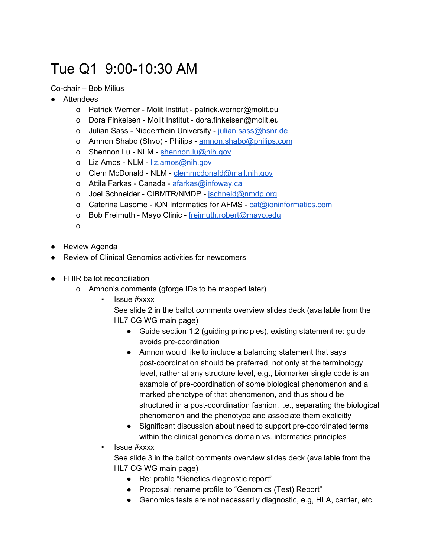# <span id="page-5-0"></span>Tue Q1 9:00-10:30 AM

Co-chair – Bob Milius

- Attendees
	- o Patrick Werner Molit Institut patrick.werner@molit.eu
	- o Dora Finkeisen Molit Institut dora.finkeisen@molit.eu
	- o Julian Sass Niederrhein University [julian.sass@hsnr.de](mailto:julian.sass@hsnr.de)
	- o Amnon Shabo (Shvo) Philips [amnon.shabo@philips.com](mailto:amnon.shabo@philips.com)
	- o Shennon Lu NLM [shennon.lu@nih.gov](mailto:shennon.lu@nih.gov)
	- o Liz Amos NLM [liz.amos@nih.gov](mailto:liz.amos@nih.gov)
	- o Clem McDonald NLM [clemmcdonald@mail.nih.gov](mailto:clemmcdonald@mail.nih.gov)
	- o Attila Farkas Canada [afarkas@infoway.ca](mailto:afarkas@infoway.ca)
	- o Joel Schneider CIBMTR/NMDP [jschneid@nmdp.org](mailto:jschneid@nmdp.org)
	- o Caterina Lasome iON Informatics for AFMS [cat@ioninformatics.com](mailto:cat@ioninformatics.com)
	- o Bob Freimuth Mayo Clinic [freimuth.robert@mayo.edu](mailto:freimuth.robert@mayo.edu)
	- o
- Review Agenda
- Review of Clinical Genomics activities for newcomers
- FHIR ballot reconciliation
	- o Amnon's comments (gforge IDs to be mapped later)
		- **Issue #xxxx** 
			- See slide 2 in the ballot comments overview slides deck (available from the HL7 CG WG main page)
				- Guide section 1.2 (guiding principles), existing statement re: guide avoids pre-coordination
				- Amnon would like to include a balancing statement that says post-coordination should be preferred, not only at the terminology level, rather at any structure level, e.g., biomarker single code is an example of pre-coordination of some biological phenomenon and a marked phenotype of that phenomenon, and thus should be structured in a post-coordination fashion, i.e., separating the biological phenomenon and the phenotype and associate them explicitly
				- Significant discussion about need to support pre-coordinated terms within the clinical genomics domain vs. informatics principles
		- **Issue #xxxx**

See slide 3 in the ballot comments overview slides deck (available from the HL7 CG WG main page)

- Re: profile "Genetics diagnostic report"
- Proposal: rename profile to "Genomics (Test) Report"
- Genomics tests are not necessarily diagnostic, e.g, HLA, carrier, etc.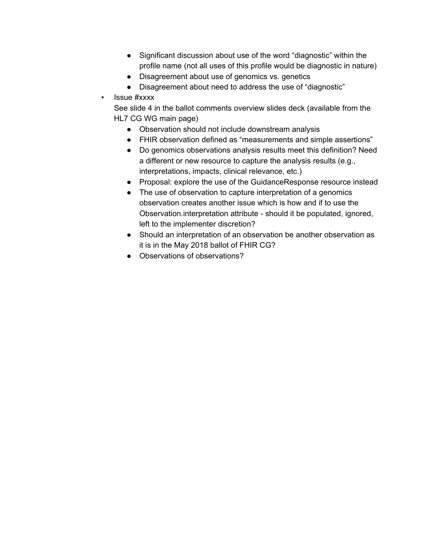- Significant discussion about use of the word "diagnostic" within the profile name (not all uses of this profile would be diagnostic in nature)
- Disagreement about use of genomics vs. genetics
- Disagreement about need to address the use of "diagnostic"
- Issue #xxxx

See slide 4 in the ballot comments overview slides deck (available from the HL7 CG WG main page)

- Observation should not include downstream analysis
- FHIR observation defined as "measurements and simple assertions"
- Do genomics observations analysis results meet this definition? Need a different or new resource to capture the analysis results (e.g., interpretations, impacts, clinical relevance, etc.)
- Proposal: explore the use of the GuidanceResponse resource instead
- The use of observation to capture interpretation of a genomics observation creates another issue which is how and if to use the Observation.interpretation attribute - should it be populated, ignored, left to the implementer discretion?
- Should an interpretation of an observation be another observation as it is in the May 2018 ballot of FHIR CG?
- Observations of observations?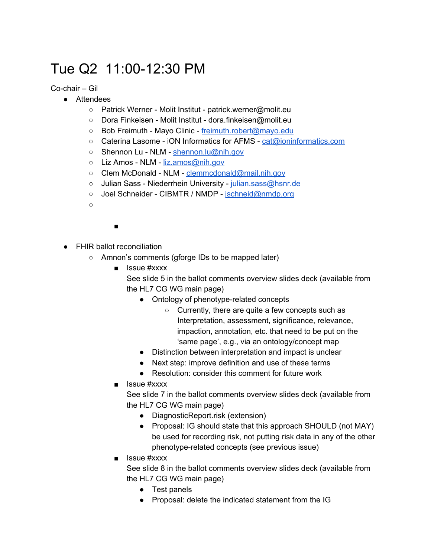## <span id="page-7-0"></span>Tue Q2 11:00-12:30 PM

#### Co-chair – Gil

- Attendees
	- Patrick Werner Molit Institut patrick.werner@molit.eu
	- Dora Finkeisen Molit Institut dora.finkeisen@molit.eu
	- Bob Freimuth Mayo Clinic [freimuth.robert@mayo.edu](mailto:freimuth.robert@mayo.edu)
	- Caterina Lasome iON Informatics for AFMS [cat@ioninformatics.com](mailto:cat@ioninformatics.com)
	- Shennon Lu NLM [shennon.lu@nih.gov](mailto:shennon.lu@nih.gov)
	- Liz Amos NLM [liz.amos@nih.gov](mailto:liz.amos@nih.gov)
	- Clem McDonald NLM [clemmcdonald@mail.nih.gov](mailto:clemmcdonald@mail.nih.gov)
	- Julian Sass Niederrhein University [julian.sass@hsnr.de](mailto:julian.sass@hsnr.de)
	- Joel Schneider CIBMTR / NMDP [jschneid@nmdp.org](mailto:jschneid@nmdp.org)
	- $\bigcap$

#### ■

- FHIR ballot reconciliation
	- Amnon's comments (gforge IDs to be mapped later)
		- Issue #xxxx

See slide 5 in the ballot comments overview slides deck (available from the HL7 CG WG main page)

- Ontology of phenotype-related concepts
	- Currently, there are quite a few concepts such as Interpretation, assessment, significance, relevance, impaction, annotation, etc. that need to be put on the 'same page', e.g., via an ontology/concept map
- Distinction between interpretation and impact is unclear
- Next step: improve definition and use of these terms
- Resolution: consider this comment for future work
- Issue #xxxx

See slide 7 in the ballot comments overview slides deck (available from the HL7 CG WG main page)

- DiagnosticReport.risk (extension)
- Proposal: IG should state that this approach SHOULD (not MAY) be used for recording risk, not putting risk data in any of the other phenotype-related concepts (see previous issue)
- Issue #xxxx

See slide 8 in the ballot comments overview slides deck (available from the HL7 CG WG main page)

- Test panels
- Proposal: delete the indicated statement from the IG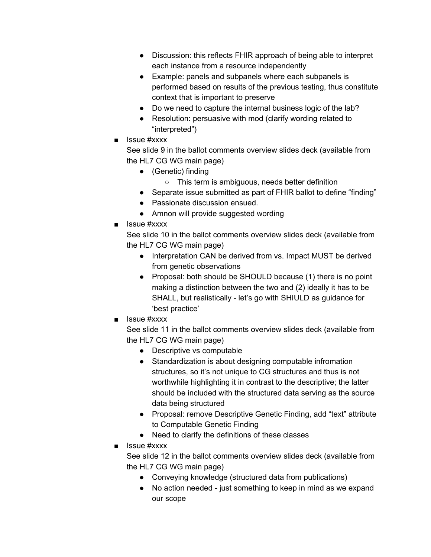- Discussion: this reflects FHIR approach of being able to interpret each instance from a resource independently
- Example: panels and subpanels where each subpanels is performed based on results of the previous testing, thus constitute context that is important to preserve
- Do we need to capture the internal business logic of the lab?
- Resolution: persuasive with mod (clarify wording related to "interpreted")
- Issue #xxxx

See slide 9 in the ballot comments overview slides deck (available from the HL7 CG WG main page)

- (Genetic) finding
	- This term is ambiguous, needs better definition
- Separate issue submitted as part of FHIR ballot to define "finding"
- Passionate discussion ensued.
- Amnon will provide suggested wording
- Issue #xxxx

See slide 10 in the ballot comments overview slides deck (available from the HL7 CG WG main page)

- Interpretation CAN be derived from vs. Impact MUST be derived from genetic observations
- Proposal: both should be SHOULD because (1) there is no point making a distinction between the two and (2) ideally it has to be SHALL, but realistically - let's go with SHIULD as guidance for 'best practice'
- Issue #xxxx

See slide 11 in the ballot comments overview slides deck (available from the HL7 CG WG main page)

- Descriptive vs computable
- Standardization is about designing computable infromation structures, so it's not unique to CG structures and thus is not worthwhile highlighting it in contrast to the descriptive; the latter should be included with the structured data serving as the source data being structured
- Proposal: remove Descriptive Genetic Finding, add "text" attribute to Computable Genetic Finding
- Need to clarify the definitions of these classes
- Issue #xxxx

See slide 12 in the ballot comments overview slides deck (available from the HL7 CG WG main page)

- Conveying knowledge (structured data from publications)
- No action needed just something to keep in mind as we expand our scope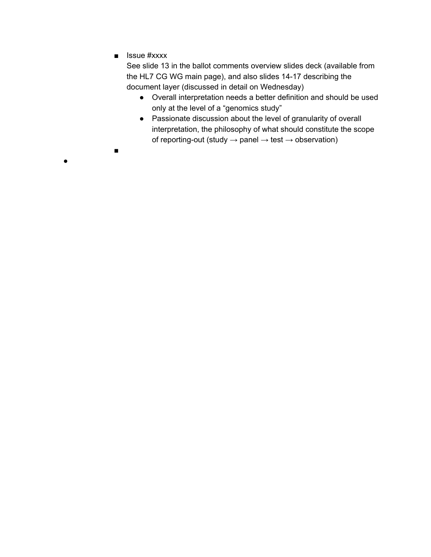■ Issue #xxxx

■

●

See slide 13 in the ballot comments overview slides deck (available from the HL7 CG WG main page), and also slides 14-17 describing the document layer (discussed in detail on Wednesday)

- Overall interpretation needs a better definition and should be used only at the level of a "genomics study"
- Passionate discussion about the level of granularity of overall interpretation, the philosophy of what should constitute the scope of reporting-out (study  $\rightarrow$  panel  $\rightarrow$  test  $\rightarrow$  observation)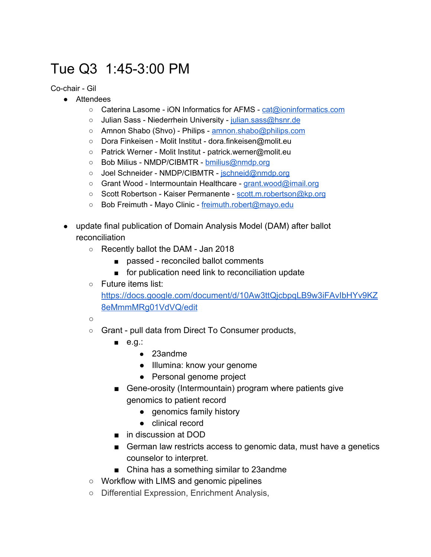# <span id="page-10-0"></span>Tue Q3 1:45-3:00 PM

Co-chair - Gil

- Attendees
	- Caterina Lasome iON Informatics for AFMS [cat@ioninformatics.com](mailto:cat@ioninformatics.com)
	- Julian Sass Niederrhein University [julian.sass@hsnr.de](mailto:julian.sass@hsnr.de)
	- Amnon Shabo (Shvo) Philips [amnon.shabo@philips.com](mailto:amnon.shabo@philips.com)
	- Dora Finkeisen Molit Institut dora.finkeisen@molit.eu
	- Patrick Werner Molit Institut patrick.werner@molit.eu
	- Bob Milius NMDP/CIBMTR [bmilius@nmdp.org](mailto:bmilius@nmdp.org)
	- Joel Schneider NMDP/CIBMTR [jschneid@nmdp.org](mailto:jschneid@nmdp.org)
	- Grant Wood Intermountain Healthcare [grant.wood@imail.org](mailto:grant.wood@imail.org)
	- Scott Robertson Kaiser Permanente [scott.m.robertson@kp.org](mailto:scott.m.robertson@kp.org)
	- Bob Freimuth Mayo Clinic [freimuth.robert@mayo.edu](mailto:freimuth.robert@mayo.edu)
- update final publication of Domain Analysis Model (DAM) after ballot reconciliation
	- Recently ballot the DAM Jan 2018
		- passed reconciled ballot comments
		- for publication need link to reconciliation update
	- Future items list:

[https://docs.google.com/document/d/10Aw3ttQjcbpqLB9w3iFAvIbHYv9KZ](https://docs.google.com/document/d/10Aw3ttQjcbpqLB9w3iFAvIbHYv9KZ8eMmmMRg01VdVQ/edit) [8eMmmMRg01VdVQ/edit](https://docs.google.com/document/d/10Aw3ttQjcbpqLB9w3iFAvIbHYv9KZ8eMmmMRg01VdVQ/edit)

- $\circ$
- Grant pull data from Direct To Consumer products,
	- e.g.:
		- 23andme
		- Illumina: know your genome
		- Personal genome project
	- Gene-orosity (Intermountain) program where patients give genomics to patient record
		- genomics family history
		- clinical record
	- in discussion at DOD
	- German law restricts access to genomic data, must have a genetics counselor to interpret.
	- China has a something similar to 23andme
- Workflow with LIMS and genomic pipelines
- Differential Expression, Enrichment Analysis,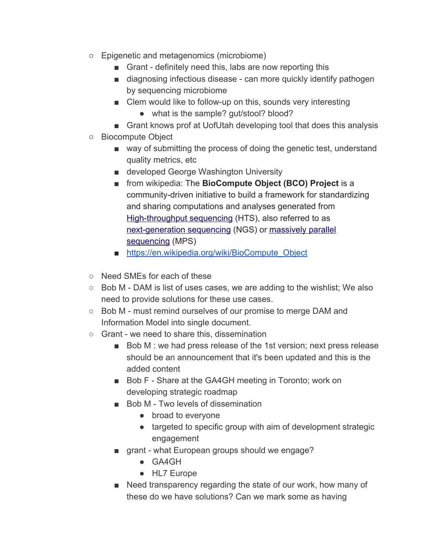- Epigenetic and metagenomics (microbiome)
	- Grant definitely need this, labs are now reporting this
	- diagnosing infectious disease can more quickly identify pathogen by sequencing microbiome
	- Clem would like to follow-up on this, sounds very interesting
		- what is the sample? gut/stool? blood?
	- Grant knows prof at UofUtah developing tool that does this analysis
- Biocompute Object
	- way of submitting the process of doing the genetic test, understand quality metrics, etc
	- developed George Washington University
	- from wikipedia: The **BioCompute Object (BCO) Project** is a community-driven initiative to build a framework for standardizing and sharing computations and analyses generated from [High-throughput sequencing](https://en.wikipedia.org/wiki/High-throughput_sequencing) (HTS), also referred to as [next-generation sequencing](https://en.wikipedia.org/wiki/Next-generation_sequencing) (NGS) or [massively parallel](https://en.wikipedia.org/wiki/Massively_parallel_sequencing) [sequencing](https://en.wikipedia.org/wiki/Massively_parallel_sequencing) (MPS)
	- [https://en.wikipedia.org/wiki/BioCompute\\_Object](https://en.wikipedia.org/wiki/BioCompute_Object)
- Need SMEs for each of these
- Bob M DAM is list of uses cases, we are adding to the wishlist; We also need to provide solutions for these use cases.
- Bob M must remind ourselves of our promise to merge DAM and Information Model into single document.
- Grant we need to share this, dissemination
	- Bob M : we had press release of the 1st version; next press release should be an announcement that it's been updated and this is the added content
	- Bob F Share at the GA4GH meeting in Toronto; work on developing strategic roadmap
	- Bob M Two levels of dissemination
		- broad to everyone
		- targeted to specific group with aim of development strategic engagement
	- grant what European groups should we engage?
		- GA4GH
		- HL7 Europe
	- Need transparency regarding the state of our work, how many of these do we have solutions? Can we mark some as having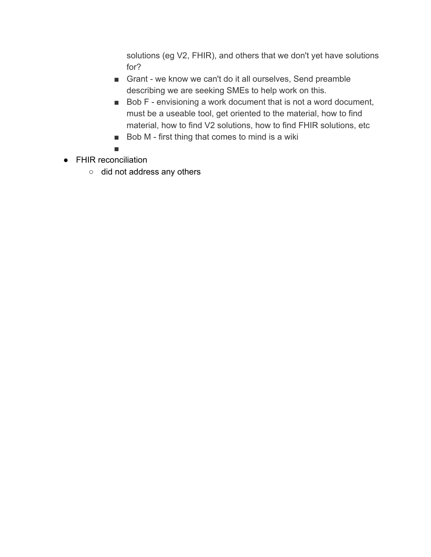solutions (eg V2, FHIR), and others that we don't yet have solutions for?

- Grant we know we can't do it all ourselves, Send preamble describing we are seeking SMEs to help work on this.
- Bob F envisioning a work document that is not a word document, must be a useable tool, get oriented to the material, how to find material, how to find V2 solutions, how to find FHIR solutions, etc
- Bob M first thing that comes to mind is a wiki
- ■
- FHIR reconciliation
	- did not address any others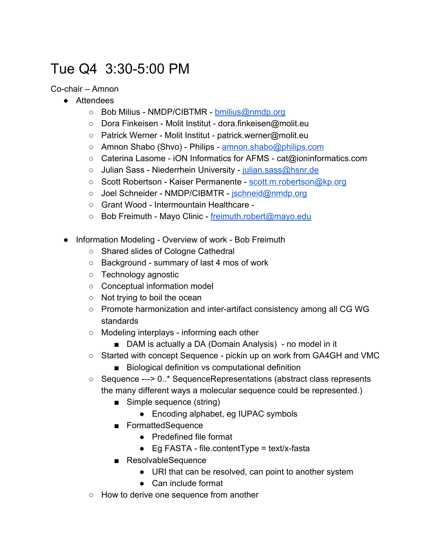# <span id="page-13-0"></span>Tue Q4 3:30-5:00 PM

Co-chair – Amnon

- Attendees
	- Bob Milius NMDP/CIBTMR - [bmilius@nmdp.org](mailto:bmilius@nmdp.org)
	- Dora Finkeisen Molit Institut dora.finkeisen@molit.eu
	- Patrick Werner Molit Institut patrick.werner@molit.eu
	- Amnon Shabo (Shvo) Philips [amnon.shabo@philips.com](mailto:amnon.shabo@philips.com)
	- Caterina Lasome iON Informatics for AFMS cat@ioninformatics.com
	- o Julian Sass Niederrhein University [julian.sass@hsnr.de](mailto:julian.sass@hsnr.de)
	- Scott Robertson Kaiser Permanente [scott.m.robertson@kp.org](mailto:scott.m.robertson@kp.org)
	- Joel Schneider NMDP/CIBMTR - [jschneid@nmdp.org](mailto:jschneid@nmdp.org)
	- Grant Wood Intermountain Healthcare -
	- Bob Freimuth Mayo Clinic - [freimuth.robert@mayo.edu](mailto:freimuth.robert@mayo.edu)
- Information Modeling Overview of work Bob Freimuth
	- Shared slides of Cologne Cathedral
	- Background summary of last 4 mos of work
	- Technology agnostic
	- Conceptual information model
	- Not trying to boil the ocean
	- Promote harmonization and inter-artifact consistency among all CG WG standards
	- Modeling interplays informing each other
		- DAM is actually a DA (Domain Analysis) no model in it
	- Started with concept Sequence pickin up on work from GA4GH and VMC
		- Biological definition vs computational definition
	- Sequence ---> 0..\* SequenceRepresentations (abstract class represents the many different ways a molecular sequence could be represented.)
		- Simple sequence (string)
			- Encoding alphabet, eg IUPAC symbols
		- FormattedSequence
			- Predefined file format
			- $\bullet$  Eg FASTA file.contentType = text/x-fasta
		- ResolvableSequence
			- URI that can be resolved, can point to another system
			- Can include format
	- How to derive one sequence from another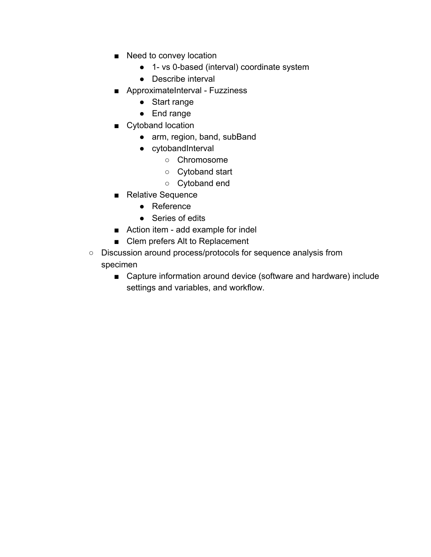- Need to convey location
	- 1- vs 0-based (interval) coordinate system
	- Describe interval
- ApproximateInterval Fuzziness
	- Start range
	- End range
- Cytoband location
	- arm, region, band, subBand
	- cytobandInterval
		- Chromosome
		- Cytoband start
		- Cytoband end
- Relative Sequence
	- Reference
	- Series of edits
- Action item add example for indel
- Clem prefers Alt to Replacement
- Discussion around process/protocols for sequence analysis from specimen
	- Capture information around device (software and hardware) include settings and variables, and workflow.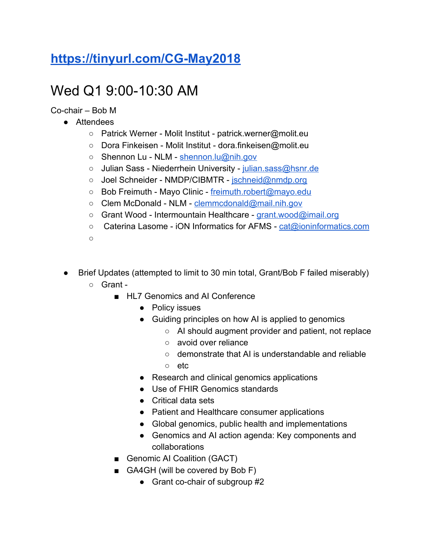#### **<https://tinyurl.com/CG-May2018>**

### <span id="page-15-0"></span>Wed Q1 9:00-10:30 AM

Co-chair – Bob M

- Attendees
	- Patrick Werner Molit Institut patrick.werner@molit.eu
	- Dora Finkeisen Molit Institut dora.finkeisen@molit.eu
	- Shennon Lu NLM [shennon.lu@nih.gov](mailto:shennon.lu@nih.gov)
	- Julian Sass Niederrhein University [julian.sass@hsnr.de](mailto:julian.sass@hsnr.de)
	- Joel Schneider NMDP/CIBMTR - [jschneid@nmdp.org](mailto:jschneid@nmdp.org)
	- Bob Freimuth Mayo Clinic - [freimuth.robert@mayo.edu](mailto:freimuth.robert@mayo.edu)
	- Clem McDonald NLM [clemmcdonald@mail.nih.gov](mailto:clemmcdonald@mail.nih.gov)
	- Grant Wood Intermountain Healthcare - [grant.wood@imail.org](mailto:grant.wood@imail.org)
	- Caterina Lasome iON Informatics for AFMS [cat@ioninformatics.com](mailto:cat@ioninformatics.com)
	- $\cap$
- Brief Updates (attempted to limit to 30 min total, Grant/Bob F failed miserably) ○ Grant -
	- HL7 Genomics and AI Conference
		- Policy issues
		- Guiding principles on how AI is applied to genomics
			- AI should augment provider and patient, not replace
			- avoid over reliance
			- demonstrate that AI is understandable and reliable
			- etc
		- Research and clinical genomics applications
		- Use of FHIR Genomics standards
		- Critical data sets
		- Patient and Healthcare consumer applications
		- Global genomics, public health and implementations
		- Genomics and AI action agenda: Key components and collaborations
	- Genomic AI Coalition (GACT)
	- GA4GH (will be covered by Bob F)
		- Grant co-chair of subgroup #2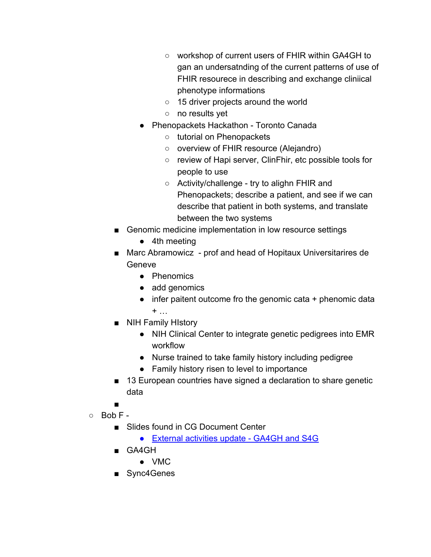- workshop of current users of FHIR within GA4GH to gan an undersatnding of the current patterns of use of FHIR resourece in describing and exchange cliniical phenotype informations
- 15 driver projects around the world
- no results yet
- Phenopackets Hackathon Toronto Canada
	- tutorial on Phenopackets
	- overview of FHIR resource (Alejandro)
	- review of Hapi server, ClinFhir, etc possible tools for people to use
	- Activity/challenge try to alighn FHIR and Phenopackets; describe a patient, and see if we can describe that patient in both systems, and translate between the two systems
- Genomic medicine implementation in low resource settings
	- 4th meeting
- Marc Abramowicz prof and head of Hopitaux Universitarires de **Geneve** 
	- Phenomics
	- add genomics
	- infer paitent outcome fro the genomic cata + phenomic data  $+$  …
- NIH Family HIstory
	- NIH Clinical Center to integrate genetic pedigrees into EMR workflow
	- Nurse trained to take family history including pedigree
	- Family history risen to level to importance
- 13 European countries have signed a declaration to share genetic data
- ■
- $\circ$  Bob F -
	- Slides found in CG Document Center
		- [External activities update GA4GH and S4G](http://www.hl7.org/documentcenter/public/wg/clingenomics/External%20activities%20update%20-%20GA4GH%20and%20S4G.pptx)
	- GA4GH
		- VMC
	- Sync4Genes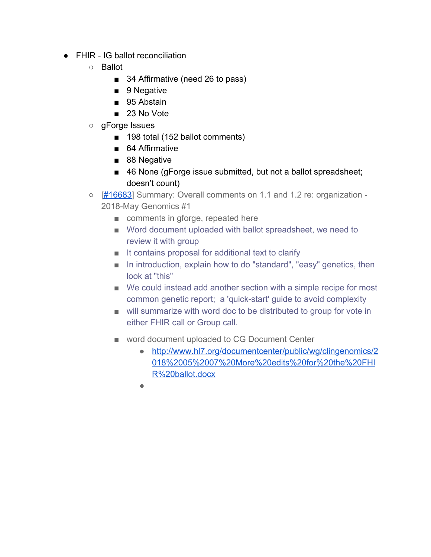- FHIR IG ballot reconciliation
	- Ballot
		- 34 Affirmative (need 26 to pass)
		- 9 Negative
		- 95 Abstain
		- 23 No Vote
	- gForge Issues
		- 198 total (152 ballot comments)
		- 64 Affirmative
		- 88 Negative
		- 46 None (gForge issue submitted, but not a ballot spreadsheet; doesn't count)
	- [\[#16683\]](https://gforge.hl7.org/gf/project/fhir/tracker/?action=TrackerItemEdit&tracker_item_id=16683&start=0) Summary: Overall comments on 1.1 and 1.2 re: organization 2018-May Genomics #1
		- comments in gforge, repeated here
		- Word document uploaded with ballot spreadsheet, we need to review it with group
		- It contains proposal for additional text to clarify
		- In introduction, explain how to do "standard", "easy" genetics, then look at "this"
		- We could instead add another section with a simple recipe for most common genetic report; a 'quick-start' guide to avoid complexity
		- will summarize with word doc to be distributed to group for vote in either FHIR call or Group call.
		- word document uploaded to CG Document Center
			- [http://www.hl7.org/documentcenter/public/wg/clingenomics/2](http://www.hl7.org/documentcenter/public/wg/clingenomics/2018%2005%2007%20More%20edits%20for%20the%20FHIR%20ballot.docx) [018%2005%2007%20More%20edits%20for%20the%20FHI](http://www.hl7.org/documentcenter/public/wg/clingenomics/2018%2005%2007%20More%20edits%20for%20the%20FHIR%20ballot.docx) [R%20ballot.docx](http://www.hl7.org/documentcenter/public/wg/clingenomics/2018%2005%2007%20More%20edits%20for%20the%20FHIR%20ballot.docx)
			- ●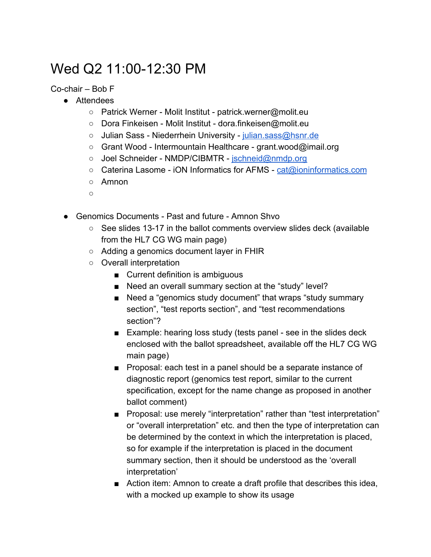#### <span id="page-18-0"></span>Wed Q2 11:00-12:30 PM

Co-chair – Bob F

- Attendees
	- Patrick Werner Molit Institut patrick.werner@molit.eu
	- Dora Finkeisen Molit Institut dora.finkeisen@molit.eu
	- o Julian Sass Niederrhein University [julian.sass@hsnr.de](mailto:julian.sass@hsnr.de)
	- Grant Wood Intermountain Healthcare grant.wood@imail.org
	- Joel Schneider NMDP/CIBMTR - [jschneid@nmdp.org](mailto:jschneid@nmdp.org)
	- Caterina Lasome iON Informatics for AFMS [cat@ioninformatics.com](mailto:cat@ioninformatics.com)
	- Amnon
	- ○
- Genomics Documents Past and future Amnon Shvo
	- See slides 13-17 in the ballot comments overview slides deck (available from the HL7 CG WG main page)
	- Adding a genomics document layer in FHIR
	- Overall interpretation
		- Current definition is ambiguous
		- Need an overall summary section at the "study" level?
		- Need a "genomics study document" that wraps "study summary section", "test reports section", and "test recommendations section"?
		- Example: hearing loss study (tests panel see in the slides deck enclosed with the ballot spreadsheet, available off the HL7 CG WG main page)
		- Proposal: each test in a panel should be a separate instance of diagnostic report (genomics test report, similar to the current specification, except for the name change as proposed in another ballot comment)
		- Proposal: use merely "interpretation" rather than "test interpretation" or "overall interpretation" etc. and then the type of interpretation can be determined by the context in which the interpretation is placed, so for example if the interpretation is placed in the document summary section, then it should be understood as the 'overall interpretation'
		- Action item: Amnon to create a draft profile that describes this idea, with a mocked up example to show its usage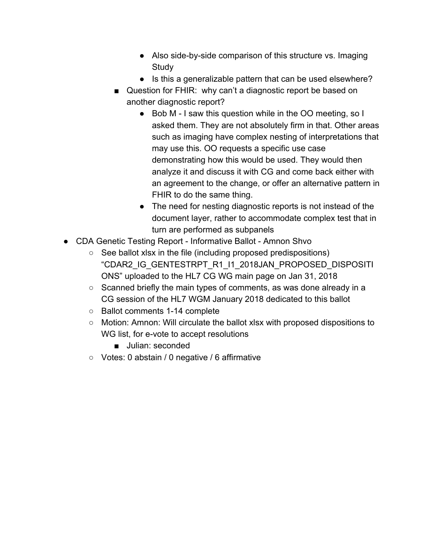- Also side-by-side comparison of this structure vs. Imaging **Study**
- Is this a generalizable pattern that can be used elsewhere?
- Question for FHIR: why can't a diagnostic report be based on another diagnostic report?
	- Bob M I saw this question while in the OO meeting, so I asked them. They are not absolutely firm in that. Other areas such as imaging have complex nesting of interpretations that may use this. OO requests a specific use case demonstrating how this would be used. They would then analyze it and discuss it with CG and come back either with an agreement to the change, or offer an alternative pattern in FHIR to do the same thing.
	- The need for nesting diagnostic reports is not instead of the document layer, rather to accommodate complex test that in turn are performed as subpanels
- CDA Genetic Testing Report Informative Ballot Amnon Shvo
	- See ballot xlsx in the file (including proposed predispositions) "CDAR2\_IG\_GENTESTRPT\_R1\_I1\_2018JAN\_PROPOSED\_DISPOSITI ONS" uploaded to the HL7 CG WG main page on Jan 31, 2018
	- Scanned briefly the main types of comments, as was done already in a CG session of the HL7 WGM January 2018 dedicated to this ballot
	- Ballot comments 1-14 complete
	- Motion: Amnon: Will circulate the ballot xlsx with proposed dispositions to WG list, for e-vote to accept resolutions
		- Julian: seconded
	- Votes: 0 abstain / 0 negative / 6 affirmative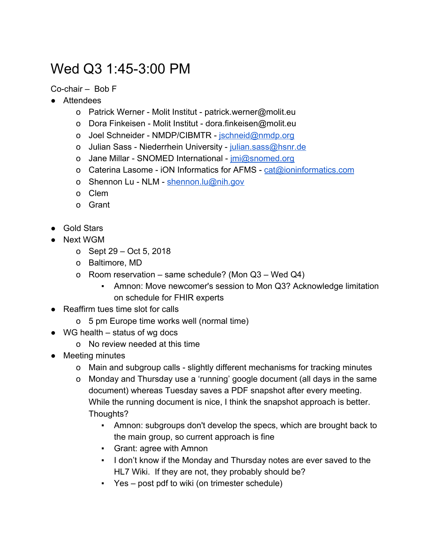# <span id="page-20-0"></span>Wed Q3 1:45-3:00 PM

Co-chair – Bob F

- Attendees
	- o Patrick Werner Molit Institut patrick.werner@molit.eu
	- o Dora Finkeisen Molit Institut dora.finkeisen@molit.eu
	- o Joel Schneider NMDP/CIBMTR - [jschneid@nmdp.org](mailto:jschneid@nmdp.org)
	- o Julian Sass Niederrhein University [julian.sass@hsnr.de](mailto:julian.sass@hsnr.de)
	- o Jane Millar SNOMED International *[jmi@snomed.org](mailto:jmi@snomed.org)*
	- o Caterina Lasome iON Informatics for AFMS [cat@ioninformatics.com](mailto:cat@ioninformatics.com)
	- o Shennon Lu NLM [shennon.lu@nih.gov](mailto:shennon.lu@nih.gov)
	- o Clem
	- o Grant
- Gold Stars
- Next WGM
	- o Sept 29 Oct 5, 2018
	- o Baltimore, MD
	- o Room reservation same schedule? (Mon Q3 Wed Q4)
		- Amnon: Move newcomer's session to Mon Q3? Acknowledge limitation on schedule for FHIR experts
- Reaffirm tues time slot for calls
	- o 5 pm Europe time works well (normal time)
- $\bullet$  WG health status of wg docs
	- o No review needed at this time
- Meeting minutes
	- o Main and subgroup calls slightly different mechanisms for tracking minutes
	- o Monday and Thursday use a 'running' google document (all days in the same document) whereas Tuesday saves a PDF snapshot after every meeting. While the running document is nice, I think the snapshot approach is better. Thoughts?
		- Amnon: subgroups don't develop the specs, which are brought back to the main group, so current approach is fine
		- Grant: agree with Amnon
		- I don't know if the Monday and Thursday notes are ever saved to the HL7 Wiki. If they are not, they probably should be?
		- Yes post pdf to wiki (on trimester schedule)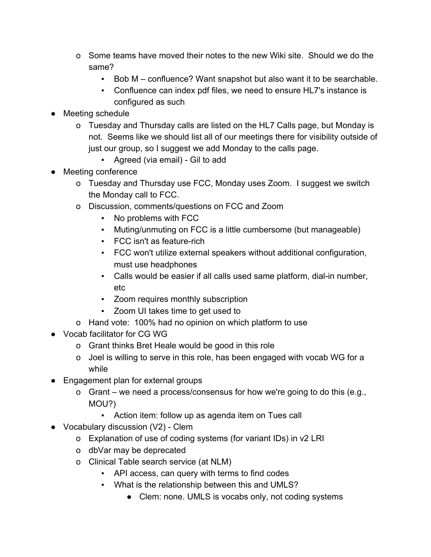- o Some teams have moved their notes to the new Wiki site. Should we do the same?
	- Bob M confluence? Want snapshot but also want it to be searchable.
	- Confluence can index pdf files, we need to ensure HL7's instance is configured as such
- Meeting schedule
	- o Tuesday and Thursday calls are listed on the HL7 Calls page, but Monday is not. Seems like we should list all of our meetings there for visibility outside of just our group, so I suggest we add Monday to the calls page.
		- Agreed (via email) Gil to add
- Meeting conference
	- o Tuesday and Thursday use FCC, Monday uses Zoom. I suggest we switch the Monday call to FCC.
	- o Discussion, comments/questions on FCC and Zoom
		- No problems with FCC
		- Muting/unmuting on FCC is a little cumbersome (but manageable)
		- FCC isn't as feature-rich
		- FCC won't utilize external speakers without additional configuration, must use headphones
		- Calls would be easier if all calls used same platform, dial-in number, etc
		- Zoom requires monthly subscription
		- Zoom UI takes time to get used to
	- o Hand vote: 100% had no opinion on which platform to use
- Vocab facilitator for CG WG
	- o Grant thinks Bret Heale would be good in this role
	- o Joel is willing to serve in this role, has been engaged with vocab WG for a while
- Engagement plan for external groups
	- o Grant we need a process/consensus for how we're going to do this (e.g., MOU?)
		- Action item: follow up as agenda item on Tues call
- Vocabulary discussion (V2) Clem
	- o Explanation of use of coding systems (for variant IDs) in v2 LRI
	- o dbVar may be deprecated
	- o Clinical Table search service (at NLM)
		- API access, can query with terms to find codes
		- What is the relationship between this and UMLS?
			- Clem: none. UMLS is vocabs only, not coding systems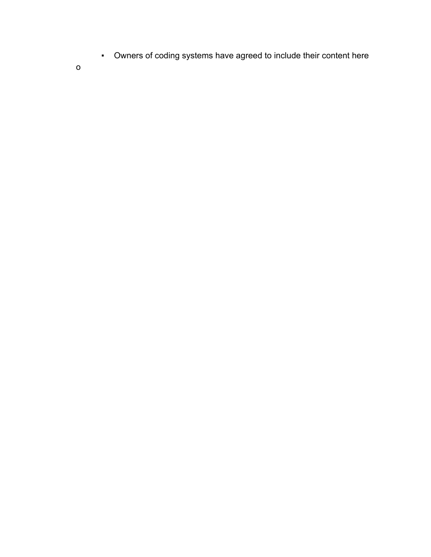▪ Owners of coding systems have agreed to include their content here

o